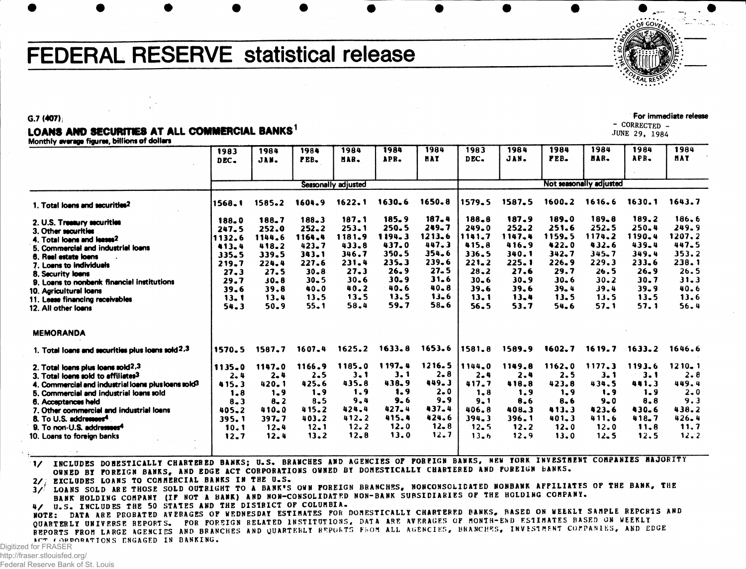# **FEDERAL RESERVE statistical release**



### 6.7 (407) i

# LOANS AND SECURITIES AT ALL COMMERCIAL BANKS<sup>1</sup>

| MONUMY average hydres, Dinions of Gonera                        | 1983<br>DEC. | 1984<br>JAN. | 1984<br>PEB. | 1984<br>MAR.        | 1984<br>APR. | 1984<br><b>HAY</b> | 1983<br>DEC- | 1984<br>JAN. | 1984<br>PEB. | 1984<br>HAR.            | 1984<br>APR. | 1984<br><b>HAY</b> |
|-----------------------------------------------------------------|--------------|--------------|--------------|---------------------|--------------|--------------------|--------------|--------------|--------------|-------------------------|--------------|--------------------|
|                                                                 |              |              |              | Seasonally adiusted |              |                    |              |              |              | Not seasonally adjusted |              |                    |
| 1. Total loans and securities <sup>2</sup>                      | 1568.1       | 1585.2       | 1604.9       | 1622.1              | 1630.6       | 1650.8             | 1579.5       | 1587.5       | 1600.2       | 1616.6                  | 1630.1       | 1643.7             |
| 2. U.S. Treasury securities                                     | 188.0        | 188.7        | $188 - 3$    | 187.1               | 185.9        | 187.4              | 188.8        | 187.9        | 189.0        | $189 - 8$               | 189.2        | 186, 6             |
| 3. Other securities                                             | 247.5        | 252.0        | $252 - 2$    | 253.1               | $250 - 5$    | $249 - 7$          | $249 - 0$    | $252 - 2$    | 251.6        | 252.5                   | 250.4        | 249.9              |
| 4. Total loans and leases2                                      | 1132.6       | 1144.6       | 1164.4       | 1181.9              | 1194.3       | 1213.6             | 1141.7       | 1147.4       | 1159.5       | 1174.2                  | 1190.4       | 1207.2             |
| 5. Commercial and industrial loans                              | 413.4        | 418.2        | 423.7        | $433 - 8$           | 437.0        | 447.3              | 415.8        | 416.9        | 422.0        | 432.6                   | $439 - 4$    | 447.5              |
| 6. Real estate loans                                            | $335 - 5$    | 339.5        | 343.1        | 346.7               | 350.5        | 354.6              | 336.5        | 340.1        | 342.7        | $345 - 7$               | 349.4        | 353.2              |
| 7. Loans to individuals                                         | $219 - 7$    | 224.4        | 227.6        | 231.4               | 235.3        | $239 - 6$          | $221 - 2$    | 225.1        | 226.9        | 229.3                   | $233 - 6$    | 238.1              |
| 8. Security loans                                               | 27.3         | 27.5         | $30 - 8$     | 27.3                | 26.9         | $27 - 5$           | $28 - 2$     | 27.6         | 29.7         | 26.5                    | $26 - 9$     | 26.5               |
| 9. Loans to nonbenk financial institutions                      | 29.7         | $30 - 8$     | $30 - 5$     | 30.6                | $30 - 9$     | $31 - 6$           | $30 - 6$     | $30 - 9$     | $30 - 6$     | $30 - 2$                | 30.7         | 31.3               |
| 10. Aaricultural loans                                          | 39.6         | 39.8         | $40 - 0$     | 40.2                | 40.6         | $40 - 8$           | $39 - 6$     | 39.6         | $39 - 4$     | 39.4                    | $39 - 9$     | 40.6               |
| 11. Lease financing receivables                                 | 13.1         | 13.4         | 13.5         | 13.5                | 13.5         | $13 - 6$           | 13.1         | 13.4         | 13.5         | 13.5                    | 13.5         | 13.6               |
| 12. All other loans                                             | 54.3         | $50 - 9$     | 55.1         | 58.4                | 59.7         | $58 - 6$           | 56.5         | 53.7         | 54.6         | 57.1                    | 57.1         | 56.4               |
| <b>MEMORANDA</b>                                                |              |              |              |                     |              |                    |              |              |              |                         |              |                    |
| 1. Total loans and securities plus loans sold $2,3$             | 1570.5       | 1587.7       | 1607.4       | 1625.2              | 1633.8       | 1653.6             | 1581.8       | 1589.9       | 1602.7       | 16 19.7                 | 1633.2       | 1646.6             |
| 2. Total loans plus loans sold <sup>2</sup> . <sup>3</sup>      | 1135.0       | 1147.0       | 1166.9       | 1185.0              | $1197 - 4$   | 1216.5             | 1144.0       | 1149.8       | 1162,0       | 1177.3                  | 1193.6       | $1210 - 1$         |
| 3. Total loans sold to affiliates <sup>3</sup>                  | 2.4          | $2 - 4$      | $2 - 5$      | $3 - 1$             | 3.1          | $2 - 8$            | $2 - 4$      | 2.4          | 2.5          | $3 - 1$                 | 3.1          | 2.8                |
| 4. Commercial and industrial loans plus loans sold <sup>3</sup> | 415.3        | 420.1        | 425.6        | 435.8               | 438.9        | 449.3              | 417.7        | 418.8        | 423.8        | 434.5                   | 441.3        | 449.4              |
| 5. Commercial and industrial loans sold                         | $1 - 8$      | 1.9          | $1 - 9$      | 1.9                 | 1.9          | $2 - 0$            | 1.8          | 1.9          | 1.9          | 1.9                     | 1.9          | $2 - 0$            |
| 6. Acceptances held                                             | $8 - 3$      | $8 - 2$      | $8 - 5$      | $9 - 4$             | 9.6          | 9.9                | $9 - 1$      | 8.6          | 8.6          | $9 - 0$                 | $8 - 8$      | 9.3                |
| 7. Other commercial and industrial loans                        | 405.2        | $410 - 0$    | 415.2        | 424.4               | $427 - 4$    | 437.4              | 406.8        | 408.3        | 413.3        | 423.6                   | 430.6        | 438.2              |
| 8. To U.S. addresses <sup>4</sup>                               | 395.1        | $397 - 7$    | 403.2        | $412 - 2$           | 415.4        | 424.6              | $394 - 3$    | 396.1        | 401.3        | 411.6                   | 418.7        | 426.4              |
| 9. To non-U.S. addresses <sup>4</sup>                           | 10.1         | $12 - 4$     | $12 - 1$     | 12.2                | 12.0         | $12 - 8$           | 12.5         | 12.2         | 12.0         | 12.0                    | 11.8         | 11,7               |
| 10. Loans to foreign banks                                      | 12.7         | 12.4         | 13.2         | 12.8                | 13.0         | 12.7               | $13 - 6$     | 12.9         | 13.0         | 12.5                    | 12.5         | 12.2               |
|                                                                 |              |              |              |                     |              |                    |              |              |              |                         |              |                    |

1/ INCLUDES DOHESTICALLY CHARTERED BANKS; U.S. BRANCHES AND AGENCIES OF FORFIGN BANKS, NEW YORK INVESTMENT COMPANIES MAJORITY OWNED BY FOREIGN BANKS, AND EDGE ACT CORPORATIONS OWNED BY DOMESTICALLY CHARTERED AND FOREIGN BANKS.

2/ EXCLUDES LOANS TO COMMERCIAL BANKS IN THE U.S.<br>3/ LOANS SOLD ARE THOSE SOLD OUTRIGHT TO A BANK'S OWN FOREIGN BRANCHES, NONCONSOLIDATED NONBANK AFFILIATES OF THE BANK, THE BANK HOLDING COMPANY (IF NOT A BANK) AND NON-CONSOLIDATED NON-BANK SUBSIDIARIES OF THE HOLDING COMPANY.<br>U.S. INCLUDES THE 50 STATES AND THE DISTRICT OF COLUMBIA.

4/ U.S. INCLUDES THE 50 STATES AND THE DISTRICT OF COLUMBIA.<br>NOTE: DATA ARE PROBATED AVERAGES OF WEDNESDAY ESTIMATES FOR DOMESTICALLY CHARTERED BANKS, BASED ON WEEKLY SAMPLE REPCRTS AND QUARTERLY UNIVERSE REPORTS. FOR FOREIGN RELATED INSTITUTIONS, DATA ARE AVERAGES OF MONTH-END ESTIMATES BASED ON WEEKLY REPORTS FROM LARGE AGENCIES AND BRANCHES AND QUARTERLY REPORTS FROM ALL AGENCIES, BRANCHES, INVESTMENT COMPANIES, AND EDGE **ACT COPPORATIONS ENGAGED IN BANKING.** 

Digitized for FRASER http://fraser.stlouisfed.org/ Federal Reserve Bank of St. Louis

#### **For immediate release**

|               | CORRECTED | $\overline{\phantom{a}}$ |
|---------------|-----------|--------------------------|
| JUNE 29, 1984 |           |                          |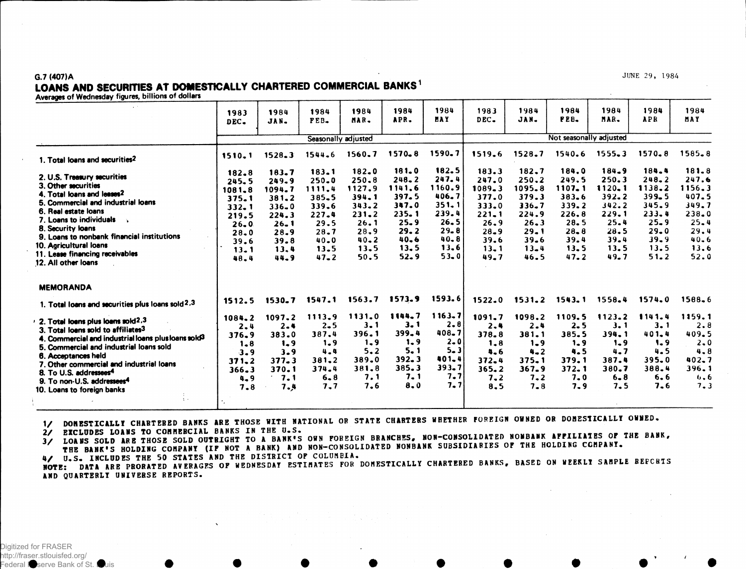## **G.7 (407)A ,** LOANS AND SECURITIES AT DOMESTICALLY CHARTERED COMMERCIAL BANKS 1

Averages of Wednesday figures, billions of dollars

| wana Mos Al Manusand Ligal                                                                                                                                                                                                                                                                                                                                                                                                                                                  |                                                                                                                     |                                                                                                         |                                                                                                         |                                                                                                                 |                                                                                                         |                                                                                                             |                                                                                                                     |                                                                                                             |                                                                                                 |                                                                                                     |                                                                                                                     |                                                                                                     |
|-----------------------------------------------------------------------------------------------------------------------------------------------------------------------------------------------------------------------------------------------------------------------------------------------------------------------------------------------------------------------------------------------------------------------------------------------------------------------------|---------------------------------------------------------------------------------------------------------------------|---------------------------------------------------------------------------------------------------------|---------------------------------------------------------------------------------------------------------|-----------------------------------------------------------------------------------------------------------------|---------------------------------------------------------------------------------------------------------|-------------------------------------------------------------------------------------------------------------|---------------------------------------------------------------------------------------------------------------------|-------------------------------------------------------------------------------------------------------------|-------------------------------------------------------------------------------------------------|-----------------------------------------------------------------------------------------------------|---------------------------------------------------------------------------------------------------------------------|-----------------------------------------------------------------------------------------------------|
|                                                                                                                                                                                                                                                                                                                                                                                                                                                                             | 1983<br>DEC.                                                                                                        | 1984<br>JAN.                                                                                            | 1984<br>FEB.                                                                                            | 1984<br>MAR.                                                                                                    | 1984<br>APR.                                                                                            | 1984<br><b>HAY</b>                                                                                          | 1983<br>DEC.                                                                                                        | 1984<br>JAN.                                                                                                | 1984<br>FEB.                                                                                    | 1984<br>MAR.                                                                                        | 1984<br>APR                                                                                                         | 1984<br>MAY                                                                                         |
|                                                                                                                                                                                                                                                                                                                                                                                                                                                                             |                                                                                                                     |                                                                                                         | Seasonally adjusted                                                                                     |                                                                                                                 |                                                                                                         |                                                                                                             |                                                                                                                     |                                                                                                             | Not seasonally adjusted                                                                         |                                                                                                     |                                                                                                                     |                                                                                                     |
| 1. Total loans and securities <sup>2</sup>                                                                                                                                                                                                                                                                                                                                                                                                                                  | 1510.1                                                                                                              | $1528 - 3$                                                                                              | 1544.6                                                                                                  | 1560.7                                                                                                          | $1570 - 8$                                                                                              | 1590.7                                                                                                      | 1519.6                                                                                                              | 1528.7                                                                                                      | 1540.6                                                                                          | $1555 - 3$                                                                                          | $1570 - 8$                                                                                                          | $1585 - 8$                                                                                          |
| 2. U.S. Treasury securities<br>3. Other securities<br>4. Total loans and leases2<br>5. Commercial and industrial loans<br>6. Real estate loans<br>7. Loans to individuals<br>8. Security loans<br>9. Loans to nonbank financial institutions<br>10. Agricultural loans<br>11. Lease financing receivables<br>12. All other loans                                                                                                                                            | $182 - 8$<br>$245 - 5$<br>1081.8<br>375.1<br>$332 - 1$<br>219.5<br>$26 - 0$<br>$28 - 0$<br>39.6<br>$13 - 1$<br>48.4 | 183.7<br>$249 - 9$<br>1094.7<br>$381 - 2$<br>$336 - 0$<br>224.3<br>26.1<br>28.9<br>39.8<br>13.4<br>44.9 | 183.1<br>$250 - 0$<br>1111.4<br>385.5<br>339.6<br>227.4<br>29.5<br>28.7<br>$40 - 0$<br>13.5<br>$47 - 2$ | $182 - 0$<br>$250 - 8$<br>1127.9<br>$394 - 1$<br>343.2<br>$231 - 2$<br>26.1<br>28.9<br>$40 - 2$<br>13.5<br>50.5 | 181.0<br>$248 - 2$<br>1141.6<br>397.5<br>347.0<br>235.1<br>$25 - 9$<br>29.2<br>$40 - 6$<br>13.5<br>52.9 | 182.5<br>247.4<br>1160.9<br>406.7<br>351.1<br>239.4<br>$26 - 5$<br>$29 - 8$<br>$40 - 8$<br>13.6<br>$53 - 0$ | 183.3<br>247.0<br>$1089 - 3$<br>377.0<br>$333 - 0$<br>$221 - 1$<br>$26 - 9$<br>$28 - 9$<br>39.6<br>$13 - 1$<br>49.7 | 182.7<br>250.2<br>1095.8<br>379.3<br>$336 - 7$<br>224.9<br>$26 - 3$<br>29.1<br>$39 - 6$<br>$13 - 4$<br>46.5 | 184.0<br>249.5<br>1107.1<br>383.6<br>339.2<br>226.8<br>28.5<br>$28 - 8$<br>39.4<br>13.5<br>47.2 | 184.9<br>250.3<br>$1120 - 1$<br>$392 - 2$<br>342.2<br>229.1<br>25.4<br>28.5<br>39.4<br>13.5<br>49.7 | 184.4<br>$248 - 2$<br>1138.2<br>$399 - 5$<br>345.9<br>233.4<br>$25 - 9$<br>$29 - 0$<br>$39 - 9$<br>13.5<br>$51 - 2$ | $181 - 8$<br>247.6<br>1156.3<br>407.5<br>349.7<br>238.0<br>25.4<br>29.4<br>$40 - 6$<br>13.6<br>52.0 |
| <b>MEMORANDA</b>                                                                                                                                                                                                                                                                                                                                                                                                                                                            | 1512.5                                                                                                              | $1530 - 7$                                                                                              | 1547.1                                                                                                  | 1563.7                                                                                                          | 1573.9                                                                                                  | 1593.6                                                                                                      | 1522.0                                                                                                              | 1531.2                                                                                                      | 1543.1                                                                                          | 1558.4                                                                                              | 1574.0                                                                                                              | 1588.6                                                                                              |
| 1. Total loans and securities plus loans sold <sup>2,3</sup><br>2. Total loans plus loans sold <sup>2</sup> . <sup>3</sup><br>3. Total loans sold to affiliates <sup>3</sup><br>4. Commercial and industrial loans plus loans sold <sup>3</sup><br>5. Commercial and industrial loans sold<br>6. Acceptances held<br>7. Other commercial and industrial loans<br>8. To U.S. addressees <sup>4</sup><br>9. To non-U.S. addressees <sup>4</sup><br>10. Loans to foreign banks | 1084.2<br>2.4<br>$376 - 9$<br>$1 - 8$<br>3.9<br>371.2<br>$366 - 3$<br>$4 - 9$<br>$7 - 8$                            | 1097.2<br>2.4<br>383.0<br>1.9<br>$3 - 9$<br>$377 - 3$<br>370.1<br>7.1<br>7.4                            | 1113.9<br>$2 - 5$<br>387.4<br>1.9<br>$4 - 4$<br>$381 - 2$<br>374.4<br>$6 - 8$<br>7.7                    | 1131.0<br>$3 - 1$<br>396.1<br>$1 - 9$<br>5.2<br>389.0<br>381.8<br>7.1<br>7.6                                    | 1144.7<br>3.1<br>399.4<br>1.9<br>5.1<br>$392 - 3$<br>385.3<br>7.1<br>8.0                                | $1163 - 7$<br>2.8<br>408.7<br>$2 - 0$<br>$5 - 3$<br>401.4<br>$393 - 7$<br>7.7<br>7.7                        | $1091 - 7$<br>2.4<br>378.8<br>$1 - 8$<br>$4 - 6$<br>$372 - 4$<br>$365 - 2$<br>7.2<br>8.5                            | 1098.2<br>2.4<br>381.1<br>$1 - 9$<br>$4 - 2$<br>$375 - 1$<br>367.9<br>7.2<br>$7 - 8$                        | 1109.5<br>2.5<br>385.5<br>1.9<br>4.5<br>379.1<br>372.1<br>7.0<br>7.9                            | 1123.2<br>3.1<br>394.1<br>$1 - 9$<br>4.7<br>387.4<br>380.7<br>$6 - 8$<br>7.5                        | 1141.4<br>3.1<br>401.4<br>1.9<br>4.5<br>$395 - 0$<br>388.4<br>6.6<br>$7 - 6$                                        | 1159.1<br>2.8<br>409.5<br>$2 - 0$<br>$4 - 8$<br>402.7<br>396.1<br>6,6<br>7.3                        |
| $\mathcal{X} \rightarrow \mathcal{X}$                                                                                                                                                                                                                                                                                                                                                                                                                                       |                                                                                                                     |                                                                                                         |                                                                                                         |                                                                                                                 |                                                                                                         |                                                                                                             |                                                                                                                     |                                                                                                             |                                                                                                 |                                                                                                     |                                                                                                                     |                                                                                                     |

1/ DOMESTICALLY CHARTERED BANKS ARE THOSE WITH NATIONAL OR STATE CHARTERS WHETHER FOREIGN OWNED OR DOMESTICALLY OWNED.<br>2/ EXCLUDES LOANS TO COMMERCIAL BANKS IN THE U.S.

2/ EXCLUDES LOANS TO COMMERCIAL BANKS IN THE U.S.<br>3/ LOANS SOLD ARE THOSE SOLD OUTRIGHT TO A BANK'S OWN FOREIGN BRANCHES, NON-CONSOLIDATED NONBANK AFFILIATES OF THE BANK, THE BANK'S HOLDING COMPANY (IF NOT A BANK) AND NON-CONSOLIDATED NONBANK SUBSIDIARIES OF THE HOLDING COMPANY. 4/ U.S. INCLUDES THE 50 STATES AND THE DISTRICT OF COLUMBIA.

4/ U.S. INCLUDES THE 50 STATES AND THE DISINICT OF COLONEIA.<br>NOTE: DATA ARE PRORATED AVERAGES OF WEDNESDAY ESTIMATES FOR DOMESTICALLY CHARTERED BANKS, BASED ON WEEKLY SAMPLE BEPCHTS AND QUARTERLY UNIVERSE REPORTS.

**JUNE 2 9 , 198 4**